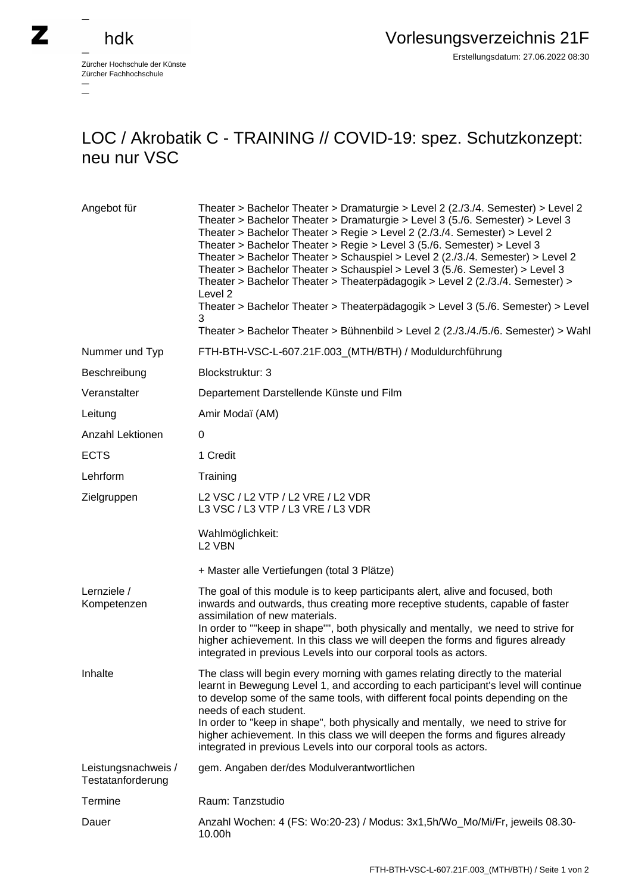$\overline{\phantom{a}}$ 

Zürcher Hochschule der Künste Zürcher Fachhochschule —

## LOC / Akrobatik C - TRAINING // COVID-19: spez. Schutzkonzept: neu nur VSC

| Angebot für                              | Theater > Bachelor Theater > Dramaturgie > Level 2 (2./3./4. Semester) > Level 2<br>Theater > Bachelor Theater > Dramaturgie > Level 3 (5./6. Semester) > Level 3<br>Theater > Bachelor Theater > Regie > Level 2 (2./3./4. Semester) > Level 2<br>Theater > Bachelor Theater > Regie > Level 3 (5./6. Semester) > Level 3<br>Theater > Bachelor Theater > Schauspiel > Level 2 (2./3./4. Semester) > Level 2<br>Theater > Bachelor Theater > Schauspiel > Level 3 (5./6. Semester) > Level 3<br>Theater > Bachelor Theater > Theaterpädagogik > Level 2 (2./3./4. Semester) ><br>Level 2<br>Theater > Bachelor Theater > Theaterpädagogik > Level 3 (5./6. Semester) > Level<br>3 |
|------------------------------------------|------------------------------------------------------------------------------------------------------------------------------------------------------------------------------------------------------------------------------------------------------------------------------------------------------------------------------------------------------------------------------------------------------------------------------------------------------------------------------------------------------------------------------------------------------------------------------------------------------------------------------------------------------------------------------------|
|                                          | Theater > Bachelor Theater > Bühnenbild > Level 2 (2./3./4./5./6. Semester) > Wah                                                                                                                                                                                                                                                                                                                                                                                                                                                                                                                                                                                                  |
| Nummer und Typ                           | FTH-BTH-VSC-L-607.21F.003_(MTH/BTH) / Moduldurchführung                                                                                                                                                                                                                                                                                                                                                                                                                                                                                                                                                                                                                            |
| Beschreibung                             | Blockstruktur: 3                                                                                                                                                                                                                                                                                                                                                                                                                                                                                                                                                                                                                                                                   |
| Veranstalter                             | Departement Darstellende Künste und Film                                                                                                                                                                                                                                                                                                                                                                                                                                                                                                                                                                                                                                           |
| Leitung                                  | Amir Modaï (AM)                                                                                                                                                                                                                                                                                                                                                                                                                                                                                                                                                                                                                                                                    |
| Anzahl Lektionen                         | $\Omega$                                                                                                                                                                                                                                                                                                                                                                                                                                                                                                                                                                                                                                                                           |
| <b>ECTS</b>                              | 1 Credit                                                                                                                                                                                                                                                                                                                                                                                                                                                                                                                                                                                                                                                                           |
| Lehrform                                 | Training                                                                                                                                                                                                                                                                                                                                                                                                                                                                                                                                                                                                                                                                           |
| Zielgruppen                              | L2 VSC / L2 VTP / L2 VRE / L2 VDR<br>L3 VSC / L3 VTP / L3 VRE / L3 VDR                                                                                                                                                                                                                                                                                                                                                                                                                                                                                                                                                                                                             |
|                                          | Wahlmöglichkeit:<br>L <sub>2</sub> VBN                                                                                                                                                                                                                                                                                                                                                                                                                                                                                                                                                                                                                                             |
|                                          | + Master alle Vertiefungen (total 3 Plätze)                                                                                                                                                                                                                                                                                                                                                                                                                                                                                                                                                                                                                                        |
| Lernziele /<br>Kompetenzen               | The goal of this module is to keep participants alert, alive and focused, both<br>inwards and outwards, thus creating more receptive students, capable of faster<br>assimilation of new materials.<br>In order to ""keep in shape"", both physically and mentally, we need to strive for<br>higher achievement. In this class we will deepen the forms and figures already<br>integrated in previous Levels into our corporal tools as actors.                                                                                                                                                                                                                                     |
| Inhalte                                  | The class will begin every morning with games relating directly to the material<br>learnt in Bewegung Level 1, and according to each participant's level will continue<br>to develop some of the same tools, with different focal points depending on the<br>needs of each student.<br>In order to "keep in shape", both physically and mentally, we need to strive for                                                                                                                                                                                                                                                                                                            |
|                                          | higher achievement. In this class we will deepen the forms and figures already<br>integrated in previous Levels into our corporal tools as actors.                                                                                                                                                                                                                                                                                                                                                                                                                                                                                                                                 |
| Leistungsnachweis /<br>Testatanforderung | gem. Angaben der/des Modulverantwortlichen                                                                                                                                                                                                                                                                                                                                                                                                                                                                                                                                                                                                                                         |
| Termine                                  | Raum: Tanzstudio                                                                                                                                                                                                                                                                                                                                                                                                                                                                                                                                                                                                                                                                   |
| Dauer                                    | Anzahl Wochen: 4 (FS: Wo:20-23) / Modus: 3x1,5h/Wo_Mo/Mi/Fr, jeweils 08.30-<br>10.00h                                                                                                                                                                                                                                                                                                                                                                                                                                                                                                                                                                                              |
|                                          |                                                                                                                                                                                                                                                                                                                                                                                                                                                                                                                                                                                                                                                                                    |